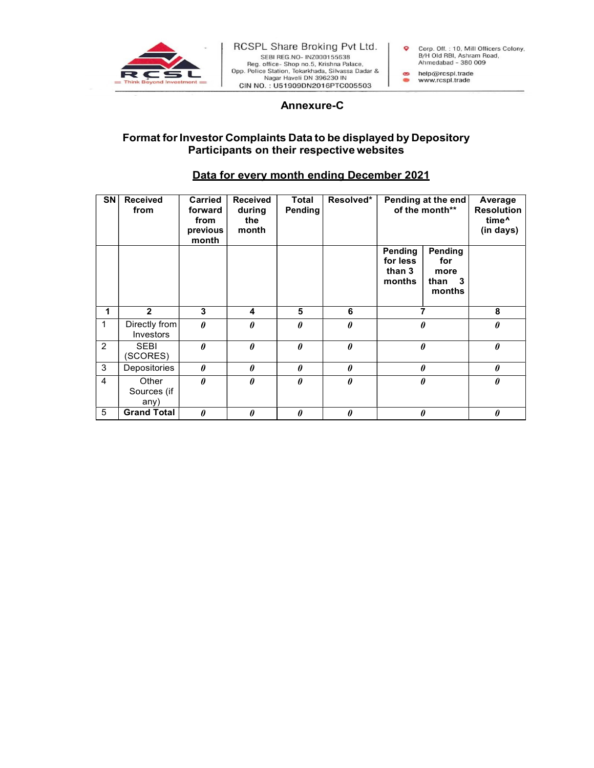

## a non- Tokar Maria Pate 1971<br>
A non- Tokar Maria Pate 2014<br>
Shop no.5, Krishna Pate 2014<br>
Shop non, Tokar Mada, Silvassa Dadar &<br>
Ahmedabad - 380 009<br>
Haveli DN 396230 IN<br>
Annexure-C<br>
S Data to be displayed by Depository<br> Format for Investor Complaints Data to be displayed by Depository Participants on their respective websites

## Data for every month ending December 2021

| SN             | <b>Received</b><br>from      | <b>Carried</b><br>forward<br>from<br>previous<br>month | <b>Received</b><br>during<br>the<br>month | Total<br>Pending      | Resolved*             | Pending at the end<br>of the month**    |                                            | Average<br><b>Resolution</b><br>time <sup>^</sup><br>(in days) |
|----------------|------------------------------|--------------------------------------------------------|-------------------------------------------|-----------------------|-----------------------|-----------------------------------------|--------------------------------------------|----------------------------------------------------------------|
|                |                              |                                                        |                                           |                       |                       | Pending<br>for less<br>than 3<br>months | Pending<br>for<br>more<br>than 3<br>months |                                                                |
|                | $\overline{2}$               | 3                                                      | 4                                         | 5                     | 6                     | $\overline{\phantom{a}}$                |                                            | 8                                                              |
|                | Directly from<br>Investors   | $\boldsymbol{\theta}$                                  | 0                                         | 0                     | $\boldsymbol{\theta}$ | 0                                       |                                            | $\boldsymbol{\theta}$                                          |
| $\overline{c}$ | <b>SEBI</b><br>(SCORES)      | $\theta$                                               | $\theta$                                  | $\boldsymbol{\theta}$ | $\boldsymbol{\theta}$ | $\pmb{\theta}$                          |                                            | $\boldsymbol{\theta}$                                          |
| 3              | Depositories                 | $\theta$                                               | $\theta$                                  | $\boldsymbol{\theta}$ | $\pmb{\theta}$        | $\pmb{\theta}$                          |                                            | $\boldsymbol{\theta}$                                          |
| 4              | Other<br>Sources (if<br>any) | $\theta$                                               | $\theta$                                  | $\theta$              | $\theta$              | $\pmb{\theta}$                          |                                            | $\boldsymbol{\theta}$                                          |
| 5              | <b>Grand Total</b>           | $\boldsymbol{\theta}$                                  | $\theta$                                  | 0                     | $\boldsymbol{\theta}$ | 0                                       |                                            | $\boldsymbol{\theta}$                                          |